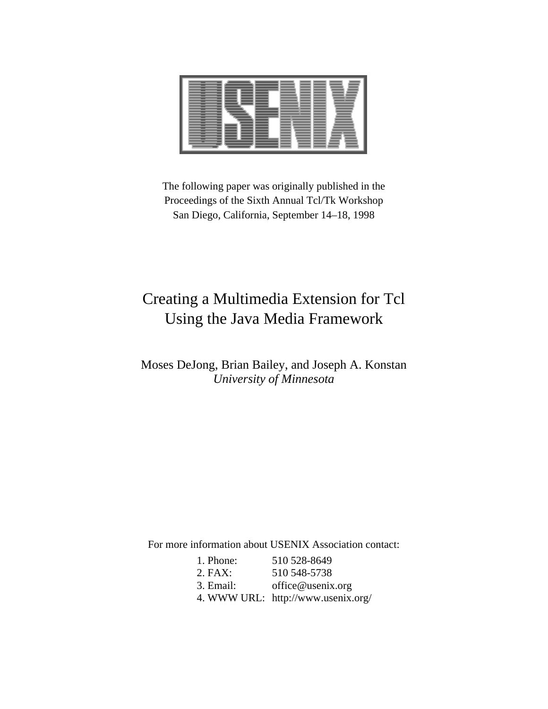The following paper was originally published in the Proceedings of the Sixth Annual Tcl/Tk Workshop San Diego, California, September 14–18, 1998

# Creating a Multimedia Extension for Tcl Using the Java Media Framework

## Moses DeJong, Brian Bailey, and Joseph A. Konstan *University of Minnesota*

For more information about USENIX Association contact:

| 1. Phone: | 510 528-8649                       |
|-----------|------------------------------------|
| $2.$ FAX: | 510 548-5738                       |
| 3. Email: | office@usenix.org                  |
|           | 4. WWW URL: http://www.usenix.org/ |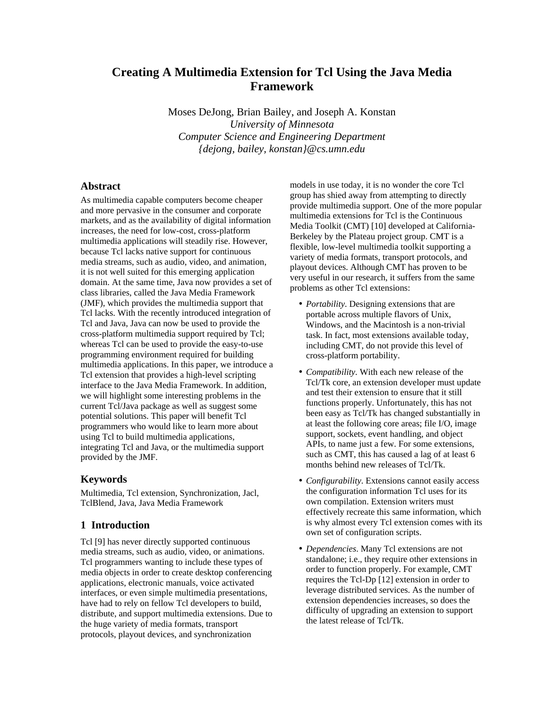## **Creating A Multimedia Extension for Tcl Using the Java Media Framework**

Moses DeJong, Brian Bailey, and Joseph A. Konstan *University of Minnesota Computer Science and Engineering Department {dejong, bailey, konstan}@cs.umn.edu*

## **Abstract**

As multimedia capable computers become cheaper and more pervasive in the consumer and corporate markets, and as the availability of digital information increases, the need for low-cost, cross-platform multimedia applications will steadily rise. However, because Tcl lacks native support for continuous media streams, such as audio, video, and animation, it is not well suited for this emerging application domain. At the same time, Java now provides a set of class libraries, called the Java Media Framework (JMF), which provides the multimedia support that Tcl lacks. With the recently introduced integration of Tcl and Java, Java can now be used to provide the cross-platform multimedia support required by Tcl; whereas Tcl can be used to provide the easy-to-use programming environment required for building multimedia applications. In this paper, we introduce a Tcl extension that provides a high-level scripting interface to the Java Media Framework. In addition, we will highlight some interesting problems in the current Tcl/Java package as well as suggest some potential solutions. This paper will benefit Tcl programmers who would like to learn more about using Tcl to build multimedia applications, integrating Tcl and Java, or the multimedia support provided by the JMF.

## **Keywords**

Multimedia, Tcl extension, Synchronization, Jacl, TclBlend, Java, Java Media Framework

## **1 Introduction**

Tcl [9] has never directly supported continuous media streams, such as audio, video, or animations. Tcl programmers wanting to include these types of media objects in order to create desktop conferencing applications, electronic manuals, voice activated interfaces, or even simple multimedia presentations, have had to rely on fellow Tcl developers to build, distribute, and support multimedia extensions. Due to the huge variety of media formats, transport protocols, playout devices, and synchronization

models in use today, it is no wonder the core Tcl group has shied away from attempting to directly provide multimedia support. One of the more popular multimedia extensions for Tcl is the Continuous Media Toolkit (CMT) [10] developed at California-Berkeley by the Plateau project group. CMT is a flexible, low-level multimedia toolkit supporting a variety of media formats, transport protocols, and playout devices. Although CMT has proven to be very useful in our research, it suffers from the same problems as other Tcl extensions:

- *Portability*. Designing extensions that are portable across multiple flavors of Unix, Windows, and the Macintosh is a non-trivial task. In fact, most extensions available today, including CMT, do not provide this level of cross-platform portability.
- *Compatibility*. With each new release of the Tcl/Tk core, an extension developer must update and test their extension to ensure that it still functions properly. Unfortunately, this has not been easy as Tcl/Tk has changed substantially in at least the following core areas; file I/O, image support, sockets, event handling, and object APIs, to name just a few. For some extensions, such as CMT, this has caused a lag of at least 6 months behind new releases of Tcl/Tk.
- *Configurability*. Extensions cannot easily access the configuration information Tcl uses for its own compilation. Extension writers must effectively recreate this same information, which is why almost every Tcl extension comes with its own set of configuration scripts.
- *Dependencies*. Many Tcl extensions are not standalone; i.e., they require other extensions in order to function properly. For example, CMT requires the Tcl-Dp [12] extension in order to leverage distributed services. As the number of extension dependencies increases, so does the difficulty of upgrading an extension to support the latest release of Tcl/Tk.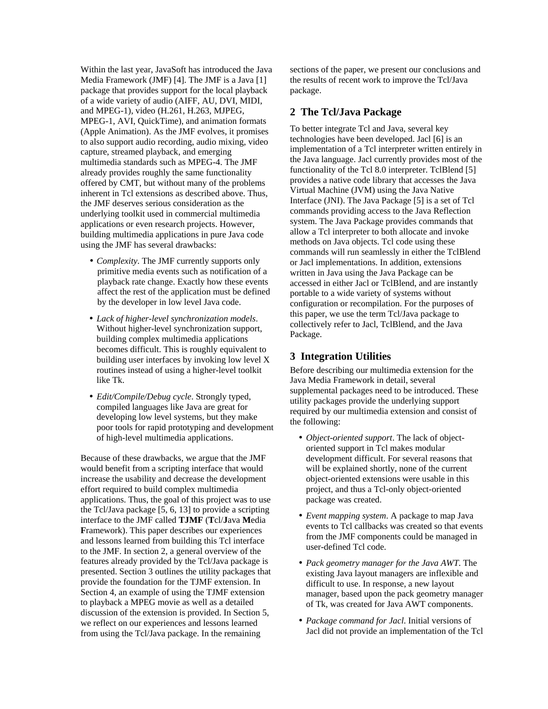Within the last year, JavaSoft has introduced the Java Media Framework (JMF) [4]. The JMF is a Java [1] package that provides support for the local playback of a wide variety of audio (AIFF, AU, DVI, MIDI, and MPEG-1), video (H.261, H.263, MJPEG, MPEG-1, AVI, QuickTime), and animation formats (Apple Animation). As the JMF evolves, it promises to also support audio recording, audio mixing, video capture, streamed playback, and emerging multimedia standards such as MPEG-4. The JMF already provides roughly the same functionality offered by CMT, but without many of the problems inherent in Tcl extensions as described above. Thus, the JMF deserves serious consideration as the underlying toolkit used in commercial multimedia applications or even research projects. However, building multimedia applications in pure Java code using the JMF has several drawbacks:

- *Complexity*. The JMF currently supports only primitive media events such as notification of a playback rate change. Exactly how these events affect the rest of the application must be defined by the developer in low level Java code.
- *Lack of higher-level synchronization models*. Without higher-level synchronization support, building complex multimedia applications becomes difficult. This is roughly equivalent to building user interfaces by invoking low level X routines instead of using a higher-level toolkit like Tk.
- *Edit/Compile/Debug cycle*. Strongly typed, compiled languages like Java are great for developing low level systems, but they make poor tools for rapid prototyping and development of high-level multimedia applications.

Because of these drawbacks, we argue that the JMF would benefit from a scripting interface that would increase the usability and decrease the development effort required to build complex multimedia applications. Thus, the goal of this project was to use the Tcl/Java package [5, 6, 13] to provide a scripting interface to the JMF called **TJMF** (**T**cl/**J**ava **M**edia **F**ramework). This paper describes our experiences and lessons learned from building this Tcl interface to the JMF. In section 2, a general overview of the features already provided by the Tcl/Java package is presented. Section 3 outlines the utility packages that provide the foundation for the TJMF extension. In Section 4, an example of using the TJMF extension to playback a MPEG movie as well as a detailed discussion of the extension is provided. In Section 5, we reflect on our experiences and lessons learned from using the Tcl/Java package. In the remaining

sections of the paper, we present our conclusions and the results of recent work to improve the Tcl/Java package.

## **2 The Tcl/Java Package**

To better integrate Tcl and Java, several key technologies have been developed. Jacl [6] is an implementation of a Tcl interpreter written entirely in the Java language. Jacl currently provides most of the functionality of the Tcl 8.0 interpreter. TclBlend [5] provides a native code library that accesses the Java Virtual Machine (JVM) using the Java Native Interface (JNI). The Java Package [5] is a set of Tcl commands providing access to the Java Reflection system. The Java Package provides commands that allow a Tcl interpreter to both allocate and invoke methods on Java objects. Tcl code using these commands will run seamlessly in either the TclBlend or Jacl implementations. In addition, extensions written in Java using the Java Package can be accessed in either Jacl or TclBlend, and are instantly portable to a wide variety of systems without configuration or recompilation. For the purposes of this paper, we use the term Tcl/Java package to collectively refer to Jacl, TclBlend, and the Java Package.

## **3 Integration Utilities**

Before describing our multimedia extension for the Java Media Framework in detail, several supplemental packages need to be introduced. These utility packages provide the underlying support required by our multimedia extension and consist of the following:

- *Object-oriented support*. The lack of objectoriented support in Tcl makes modular development difficult. For several reasons that will be explained shortly, none of the current object-oriented extensions were usable in this project, and thus a Tcl-only object-oriented package was created.
- *Event mapping system*. A package to map Java events to Tcl callbacks was created so that events from the JMF components could be managed in user-defined Tcl code.
- *Pack geometry manager for the Java AWT*. The existing Java layout managers are inflexible and difficult to use. In response, a new layout manager, based upon the pack geometry manager of Tk, was created for Java AWT components.
- *Package command for Jacl*. Initial versions of Jacl did not provide an implementation of the Tcl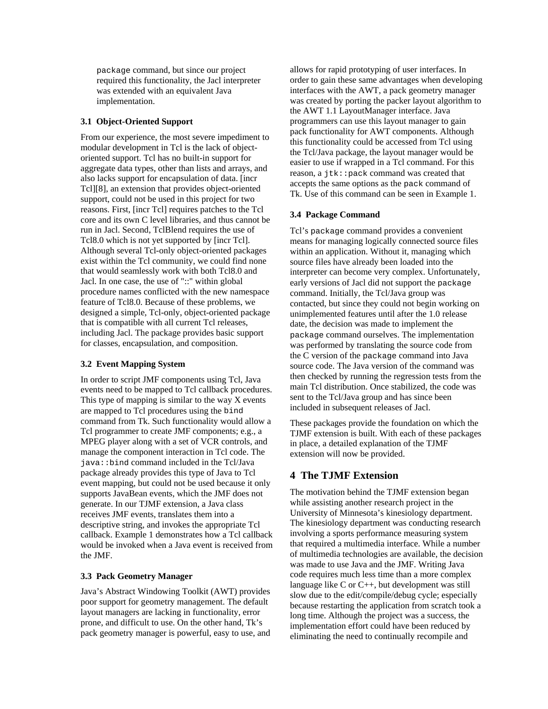package command, but since our project required this functionality, the Jacl interpreter was extended with an equivalent Java implementation.

#### **3.1 Object-Oriented Support**

From our experience, the most severe impediment to modular development in Tcl is the lack of objectoriented support. Tcl has no built-in support for aggregate data types, other than lists and arrays, and also lacks support for encapsulation of data. [incr Tcl][8], an extension that provides object-oriented support, could not be used in this project for two reasons. First, [incr Tcl] requires patches to the Tcl core and its own C level libraries, and thus cannot be run in Jacl. Second, TclBlend requires the use of Tcl8.0 which is not yet supported by [incr Tcl]. Although several Tcl-only object-oriented packages exist within the Tcl community, we could find none that would seamlessly work with both Tcl8.0 and Jacl. In one case, the use of "::" within global procedure names conflicted with the new namespace feature of Tcl8.0. Because of these problems, we designed a simple, Tcl-only, object-oriented package that is compatible with all current Tcl releases, including Jacl. The package provides basic support for classes, encapsulation, and composition.

## **3.2 Event Mapping System**

In order to script JMF components using Tcl, Java events need to be mapped to Tcl callback procedures. This type of mapping is similar to the way  $X$  events are mapped to Tcl procedures using the bind command from Tk. Such functionality would allow a Tcl programmer to create JMF components; e.g., a MPEG player along with a set of VCR controls, and manage the component interaction in Tcl code. The java::bind command included in the Tcl/Java package already provides this type of Java to Tcl event mapping, but could not be used because it only supports JavaBean events, which the JMF does not generate. In our TJMF extension, a Java class receives JMF events, translates them into a descriptive string, and invokes the appropriate Tcl callback. Example 1 demonstrates how a Tcl callback would be invoked when a Java event is received from the JMF.

#### **3.3 Pack Geometry Manager**

Java's Abstract Windowing Toolkit (AWT) provides poor support for geometry management. The default layout managers are lacking in functionality, error prone, and difficult to use. On the other hand, Tk's pack geometry manager is powerful, easy to use, and allows for rapid prototyping of user interfaces. In order to gain these same advantages when developing interfaces with the AWT, a pack geometry manager was created by porting the packer layout algorithm to the AWT 1.1 LayoutManager interface. Java programmers can use this layout manager to gain pack functionality for AWT components. Although this functionality could be accessed from Tcl using the Tcl/Java package, the layout manager would be easier to use if wrapped in a Tcl command. For this reason, a jtk::pack command was created that accepts the same options as the pack command of Tk. Use of this command can be seen in Example 1.

#### **3.4 Package Command**

Tcl's package command provides a convenient means for managing logically connected source files within an application. Without it, managing which source files have already been loaded into the interpreter can become very complex. Unfortunately, early versions of Jacl did not support the package command. Initially, the Tcl/Java group was contacted, but since they could not begin working on unimplemented features until after the 1.0 release date, the decision was made to implement the package command ourselves. The implementation was performed by translating the source code from the C version of the package command into Java source code. The Java version of the command was then checked by running the regression tests from the main Tcl distribution. Once stabilized, the code was sent to the Tcl/Java group and has since been included in subsequent releases of Jacl.

These packages provide the foundation on which the TJMF extension is built. With each of these packages in place, a detailed explanation of the TJMF extension will now be provided.

## **4 The TJMF Extension**

The motivation behind the TJMF extension began while assisting another research project in the University of Minnesota's kinesiology department. The kinesiology department was conducting research involving a sports performance measuring system that required a multimedia interface. While a number of multimedia technologies are available, the decision was made to use Java and the JMF. Writing Java code requires much less time than a more complex language like  $C$  or  $C_{++}$ , but development was still slow due to the edit/compile/debug cycle; especially because restarting the application from scratch took a long time. Although the project was a success, the implementation effort could have been reduced by eliminating the need to continually recompile and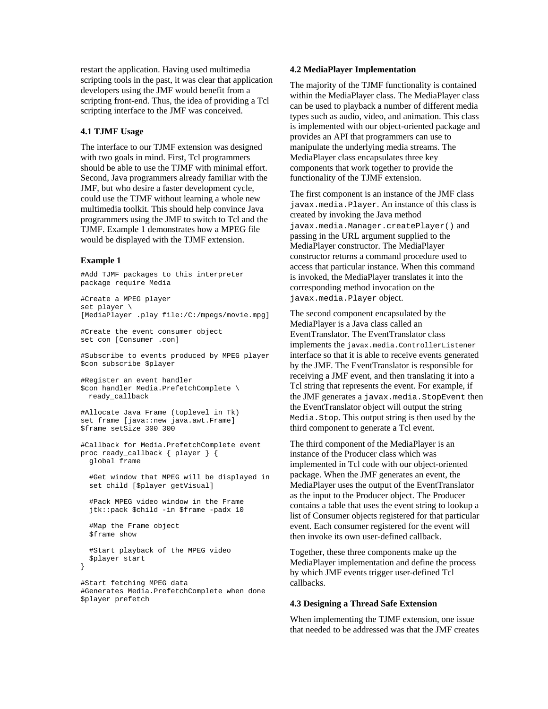restart the application. Having used multimedia scripting tools in the past, it was clear that application developers using the JMF would benefit from a scripting front-end. Thus, the idea of providing a Tcl scripting interface to the JMF was conceived.

#### **4.1 TJMF Usage**

The interface to our TJMF extension was designed with two goals in mind. First, Tcl programmers should be able to use the TJMF with minimal effort. Second, Java programmers already familiar with the JMF, but who desire a faster development cycle, could use the TJMF without learning a whole new multimedia toolkit. This should help convince Java programmers using the JMF to switch to Tcl and the TJMF. Example 1 demonstrates how a MPEG file would be displayed with the TJMF extension.

#### **Example 1**

#Add TJMF packages to this interpreter package require Media #Create a MPEG player set player \ [MediaPlayer .play file:/C:/mpegs/movie.mpg] #Create the event consumer object set con [Consumer .con]

#Subscribe to events produced by MPEG player \$con subscribe \$player

```
#Register an event handler
$con handler Media.PrefetchComplete \
 ready_callback
```

```
#Allocate Java Frame (toplevel in Tk)
set frame [java::new java.awt.Frame]
$frame setSize 300 300
```

```
#Callback for Media.PrefetchComplete event
proc ready_callback { player } {
  global frame
```
 #Get window that MPEG will be displayed in set child [\$player getVisual]

 #Pack MPEG video window in the Frame jtk::pack \$child -in \$frame -padx 10

```
 #Map the Frame object
 $frame show
```
}

 #Start playback of the MPEG video \$player start

#Start fetching MPEG data #Generates Media.PrefetchComplete when done \$player prefetch

#### **4.2 MediaPlayer Implementation**

The majority of the TJMF functionality is contained within the MediaPlayer class. The MediaPlayer class can be used to playback a number of different media types such as audio, video, and animation. This class is implemented with our object-oriented package and provides an API that programmers can use to manipulate the underlying media streams. The MediaPlayer class encapsulates three key components that work together to provide the functionality of the TJMF extension.

The first component is an instance of the JMF class javax.media.Player. An instance of this class is created by invoking the Java method javax.media.Manager.createPlayer() and passing in the URL argument supplied to the MediaPlayer constructor. The MediaPlayer constructor returns a command procedure used to access that particular instance. When this command is invoked, the MediaPlayer translates it into the corresponding method invocation on the javax.media.Player object.

The second component encapsulated by the MediaPlayer is a Java class called an EventTranslator. The EventTranslator class implements the javax.media.ControllerListener interface so that it is able to receive events generated by the JMF. The EventTranslator is responsible for receiving a JMF event, and then translating it into a Tcl string that represents the event. For example, if the JMF generates a javax.media.StopEvent then the EventTranslator object will output the string Media.Stop. This output string is then used by the third component to generate a Tcl event.

The third component of the MediaPlayer is an instance of the Producer class which was implemented in Tcl code with our object-oriented package. When the JMF generates an event, the MediaPlayer uses the output of the EventTranslator as the input to the Producer object. The Producer contains a table that uses the event string to lookup a list of Consumer objects registered for that particular event. Each consumer registered for the event will then invoke its own user-defined callback.

Together, these three components make up the MediaPlayer implementation and define the process by which JMF events trigger user-defined Tcl callbacks.

#### **4.3 Designing a Thread Safe Extension**

When implementing the TJMF extension, one issue that needed to be addressed was that the JMF creates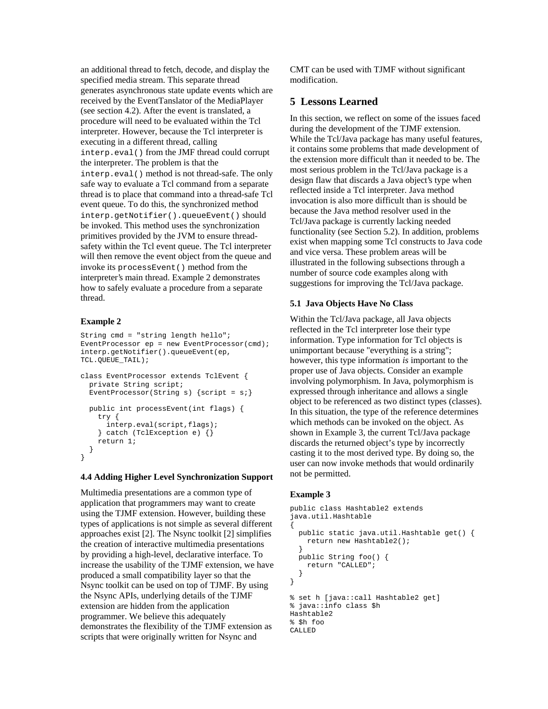an additional thread to fetch, decode, and display the specified media stream. This separate thread generates asynchronous state update events which are received by the EventTanslator of the MediaPlayer (see section 4.2). After the event is translated, a procedure will need to be evaluated within the Tcl interpreter. However, because the Tcl interpreter is executing in a different thread, calling interp.eval() from the JMF thread could corrupt the interpreter. The problem is that the interp.eval() method is not thread-safe. The only safe way to evaluate a Tcl command from a separate thread is to place that command into a thread-safe Tcl event queue. To do this, the synchronized method interp.getNotifier().queueEvent() should be invoked. This method uses the synchronization primitives provided by the JVM to ensure threadsafety within the Tcl event queue. The Tcl interpreter will then remove the event object from the queue and invoke its processEvent() method from the interpreter's main thread. Example 2 demonstrates how to safely evaluate a procedure from a separate thread.

#### **Example 2**

```
String cmd = "string length hello";
EventProcessor ep = new EventProcessor(cmd);
interp.getNotifier().queueEvent(ep,
TCL.QUEUE_TAIL);
```

```
class EventProcessor extends TclEvent {
  private String script;
 EventProcessor(String s) {script = si}
  public int processEvent(int flags) {
    try {
       interp.eval(script,flags);
     } catch (TclException e) {}
    return 1;
 }
}
```
#### **4.4 Adding Higher Level Synchronization Support**

Multimedia presentations are a common type of application that programmers may want to create using the TJMF extension. However, building these types of applications is not simple as several different approaches exist [2]. The Nsync toolkit [2] simplifies the creation of interactive multimedia presentations by providing a high-level, declarative interface. To increase the usability of the TJMF extension, we have produced a small compatibility layer so that the Nsync toolkit can be used on top of TJMF. By using the Nsync APIs, underlying details of the TJMF extension are hidden from the application programmer. We believe this adequately demonstrates the flexibility of the TJMF extension as scripts that were originally written for Nsync and

CMT can be used with TJMF without significant modification.

### **5 Lessons Learned**

In this section, we reflect on some of the issues faced during the development of the TJMF extension. While the Tcl/Java package has many useful features, it contains some problems that made development of the extension more difficult than it needed to be. The most serious problem in the Tcl/Java package is a design flaw that discards a Java object's type when reflected inside a Tcl interpreter. Java method invocation is also more difficult than is should be because the Java method resolver used in the Tcl/Java package is currently lacking needed functionality (see Section 5.2). In addition, problems exist when mapping some Tcl constructs to Java code and vice versa. These problem areas will be illustrated in the following subsections through a number of source code examples along with suggestions for improving the Tcl/Java package.

#### **5.1 Java Objects Have No Class**

Within the Tcl/Java package, all Java objects reflected in the Tcl interpreter lose their type information. Type information for Tcl objects is unimportant because "everything is a string"; however, this type information *is* important to the proper use of Java objects. Consider an example involving polymorphism. In Java, polymorphism is expressed through inheritance and allows a single object to be referenced as two distinct types (classes). In this situation, the type of the reference determines which methods can be invoked on the object. As shown in Example 3, the current Tcl/Java package discards the returned object's type by incorrectly casting it to the most derived type. By doing so, the user can now invoke methods that would ordinarily not be permitted.

#### **Example 3**

```
public class Hashtable2 extends
java.util.Hashtable
{
   public static java.util.Hashtable get() {
     return new Hashtable2();
 }
  public String foo() {
    return "CALLED";
   }
}
% set h [java::call Hashtable2 get]
% java::info class $h
Hashtable2
% $h foo
CALLED
```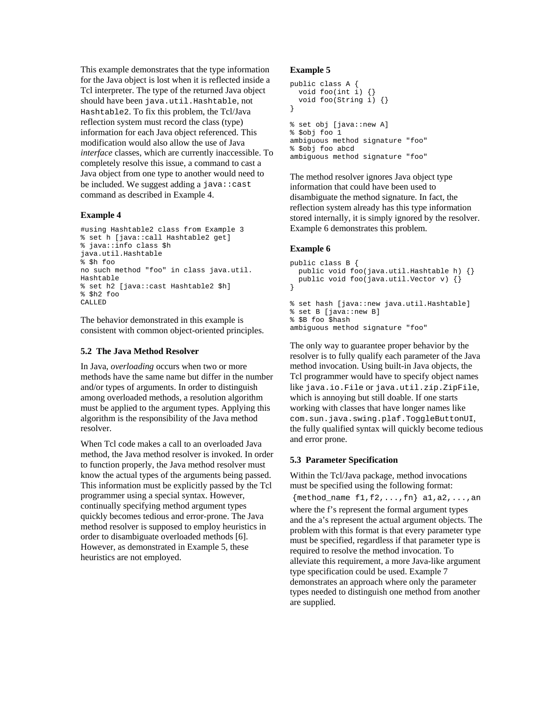This example demonstrates that the type information for the Java object is lost when it is reflected inside a Tcl interpreter. The type of the returned Java object should have been java.util.Hashtable, not Hashtable2. To fix this problem, the Tcl/Java reflection system must record the class (type) information for each Java object referenced. This modification would also allow the use of Java *interface* classes, which are currently inaccessible. To completely resolve this issue, a command to cast a Java object from one type to another would need to be included. We suggest adding a  $java::cast$ command as described in Example 4.

#### **Example 4**

```
#using Hashtable2 class from Example 3
% set h [java::call Hashtable2 get]
% java::info class $h
java.util.Hashtable
% $h foo
no such method "foo" in class java.util.
Hashtable
% set h2 [java::cast Hashtable2 $h]
% $h2 foo
CALLED
```
The behavior demonstrated in this example is consistent with common object-oriented principles.

#### **5.2 The Java Method Resolver**

In Java, *overloading* occurs when two or more methods have the same name but differ in the number and/or types of arguments. In order to distinguish among overloaded methods, a resolution algorithm must be applied to the argument types. Applying this algorithm is the responsibility of the Java method resolver.

When Tcl code makes a call to an overloaded Java method, the Java method resolver is invoked. In order to function properly, the Java method resolver must know the actual types of the arguments being passed. This information must be explicitly passed by the Tcl programmer using a special syntax. However, continually specifying method argument types quickly becomes tedious and error-prone. The Java method resolver is supposed to employ heuristics in order to disambiguate overloaded methods [6]. However, as demonstrated in Example 5, these heuristics are not employed.

#### **Example 5**

```
public class A {
   void foo(int i) {}
   void foo(String i) {}
}
% set obj [java::new A]
% $obj foo 1
ambiguous method signature "foo"
% $obj foo abcd
ambiguous method signature "foo"
```
The method resolver ignores Java object type information that could have been used to disambiguate the method signature. In fact, the reflection system already has this type information stored internally, it is simply ignored by the resolver. Example 6 demonstrates this problem.

#### **Example 6**

```
public class B {
  public void foo(java.util.Hashtable h) {}
  public void foo(java.util.Vector v) {}
}
% set hash [java::new java.util.Hashtable]
% set B [java::new B]
% $B foo $hash
ambiguous method signature "foo"
```
The only way to guarantee proper behavior by the resolver is to fully qualify each parameter of the Java method invocation. Using built-in Java objects, the Tcl programmer would have to specify object names like java.io.File or java.util.zip.ZipFile, which is annoying but still doable. If one starts working with classes that have longer names like com.sun.java.swing.plaf.ToggleButtonUI, the fully qualified syntax will quickly become tedious and error prone.

#### **5.3 Parameter Specification**

Within the Tcl/Java package, method invocations must be specified using the following format:

 ${method_name f1,f2,...,fn}$  al,a2,...,an where the f's represent the formal argument types and the a's represent the actual argument objects. The problem with this format is that every parameter type must be specified, regardless if that parameter type is required to resolve the method invocation. To alleviate this requirement, a more Java-like argument type specification could be used. Example 7 demonstrates an approach where only the parameter types needed to distinguish one method from another are supplied.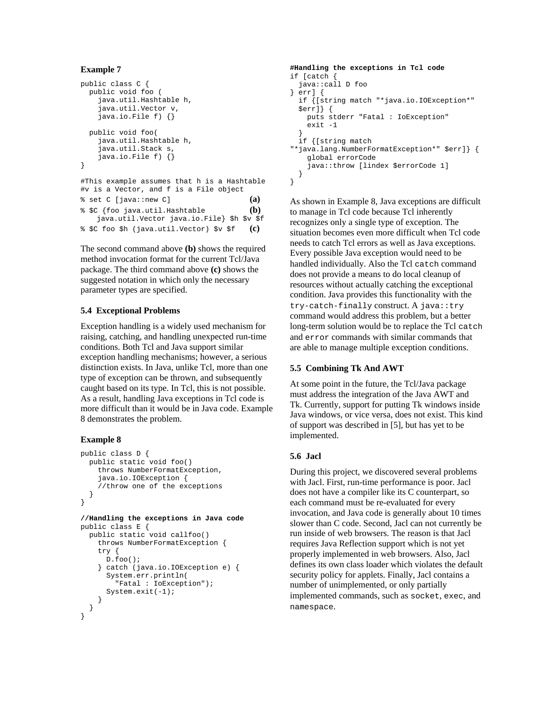```
Example 7
```

```
public class C {
  public void foo (
     java.util.Hashtable h,
     java.util.Vector v,
     java.io.File f) {}
  public void foo(
     java.util.Hashtable h,
     java.util.Stack s,
     java.io.File f) {}
}
#This example assumes that h is a Hashtable
#v is a Vector, and f is a File object
\text{Set } C \text{ [java::new } C \text{]} (a)
% $C {foo java.util.Hashtable (b)
    java.util.Vector java.io.File} $h $v $f
% $C foo $h (java.util.Vector) $v $f (c)
```
The second command above **(b)** shows the required method invocation format for the current Tcl/Java package. The third command above **(c)** shows the suggested notation in which only the necessary parameter types are specified.

## **5.4 Exceptional Problems**

Exception handling is a widely used mechanism for raising, catching, and handling unexpected run-time conditions. Both Tcl and Java support similar exception handling mechanisms; however, a serious distinction exists. In Java, unlike Tcl, more than one type of exception can be thrown, and subsequently caught based on its type. In Tcl, this is not possible. As a result, handling Java exceptions in Tcl code is more difficult than it would be in Java code. Example 8 demonstrates the problem.

## **Example 8**

```
public class D {
  public static void foo()
     throws NumberFormatException,
     java.io.IOException {
     //throw one of the exceptions
  }
}
```

```
//Handling the exceptions in Java code
public class E {
  public static void callfoo()
     throws NumberFormatException {
     try {
      D.foo();
     } catch (java.io.IOException e) {
       System.err.println(
         "Fatal : IoException");
       System.exit(-1);
     }
  }
}
```

```
#Handling the exceptions in Tcl code
if [catch {
   java::call D foo
} err] {
  if {[string match "*java.io.IOException*"
   $err]} {
     puts stderr "Fatal : IoException"
     exit -1
 }
   if {[string match
"*java.lang.NumberFormatException*" $err]} {
     global errorCode
     java::throw [lindex $errorCode 1]
  }
}
```
As shown in Example 8, Java exceptions are difficult to manage in Tcl code because Tcl inherently recognizes only a single type of exception. The situation becomes even more difficult when Tcl code needs to catch Tcl errors as well as Java exceptions. Every possible Java exception would need to be handled individually. Also the Tcl catch command does not provide a means to do local cleanup of resources without actually catching the exceptional condition. Java provides this functionality with the try-catch-finally construct. A java: : try command would address this problem, but a better long-term solution would be to replace the Tcl catch and error commands with similar commands that are able to manage multiple exception conditions.

## **5.5 Combining Tk And AWT**

At some point in the future, the Tcl/Java package must address the integration of the Java AWT and Tk. Currently, support for putting Tk windows inside Java windows, or vice versa, does not exist. This kind of support was described in [5], but has yet to be implemented.

## **5.6 Jacl**

During this project, we discovered several problems with Jacl. First, run-time performance is poor. Jacl does not have a compiler like its C counterpart, so each command must be re-evaluated for every invocation, and Java code is generally about 10 times slower than C code. Second, Jacl can not currently be run inside of web browsers. The reason is that Jacl requires Java Reflection support which is not yet properly implemented in web browsers. Also, Jacl defines its own class loader which violates the default security policy for applets. Finally, Jacl contains a number of unimplemented, or only partially implemented commands, such as socket, exec, and namespace.